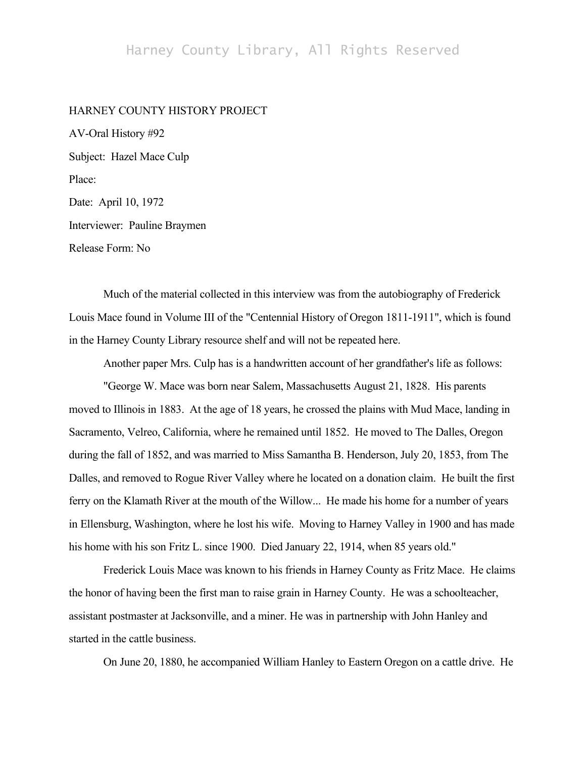## HARNEY COUNTY HISTORY PROJECT

AV-Oral History #92 Subject: Hazel Mace Culp Place: Date: April 10, 1972 Interviewer: Pauline Braymen Release Form: No

Much of the material collected in this interview was from the autobiography of Frederick Louis Mace found in Volume III of the "Centennial History of Oregon 1811-1911", which is found in the Harney County Library resource shelf and will not be repeated here.

Another paper Mrs. Culp has is a handwritten account of her grandfather's life as follows:

"George W. Mace was born near Salem, Massachusetts August 21, 1828. His parents moved to Illinois in 1883. At the age of 18 years, he crossed the plains with Mud Mace, landing in Sacramento, Velreo, California, where he remained until 1852. He moved to The Dalles, Oregon during the fall of 1852, and was married to Miss Samantha B. Henderson, July 20, 1853, from The Dalles, and removed to Rogue River Valley where he located on a donation claim. He built the first ferry on the Klamath River at the mouth of the Willow... He made his home for a number of years in Ellensburg, Washington, where he lost his wife. Moving to Harney Valley in 1900 and has made his home with his son Fritz L. since 1900. Died January 22, 1914, when 85 years old."

Frederick Louis Mace was known to his friends in Harney County as Fritz Mace. He claims the honor of having been the first man to raise grain in Harney County. He was a schoolteacher, assistant postmaster at Jacksonville, and a miner. He was in partnership with John Hanley and started in the cattle business.

On June 20, 1880, he accompanied William Hanley to Eastern Oregon on a cattle drive. He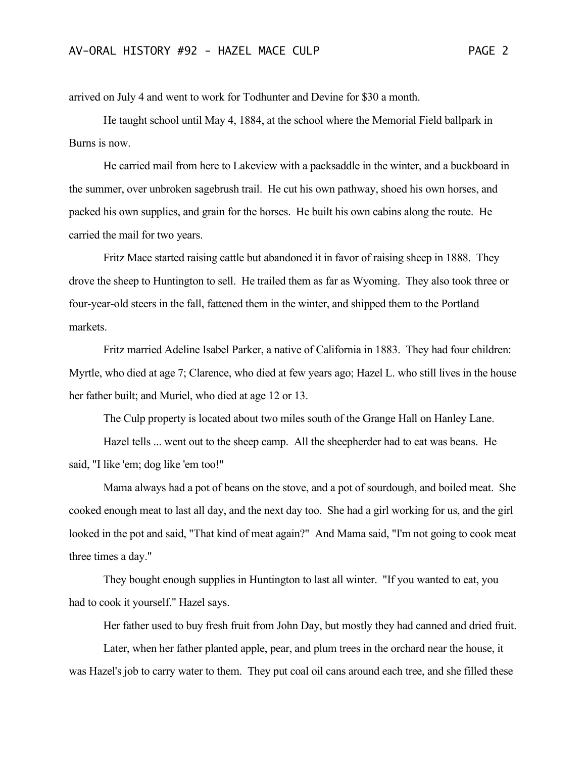arrived on July 4 and went to work for Todhunter and Devine for \$30 a month.

He taught school until May 4, 1884, at the school where the Memorial Field ballpark in Burns is now.

He carried mail from here to Lakeview with a packsaddle in the winter, and a buckboard in the summer, over unbroken sagebrush trail. He cut his own pathway, shoed his own horses, and packed his own supplies, and grain for the horses. He built his own cabins along the route. He carried the mail for two years.

Fritz Mace started raising cattle but abandoned it in favor of raising sheep in 1888. They drove the sheep to Huntington to sell. He trailed them as far as Wyoming. They also took three or four-year-old steers in the fall, fattened them in the winter, and shipped them to the Portland markets.

Fritz married Adeline Isabel Parker, a native of California in 1883. They had four children: Myrtle, who died at age 7; Clarence, who died at few years ago; Hazel L. who still lives in the house her father built; and Muriel, who died at age 12 or 13.

The Culp property is located about two miles south of the Grange Hall on Hanley Lane.

Hazel tells ... went out to the sheep camp. All the sheepherder had to eat was beans. He said, "I like 'em; dog like 'em too!"

Mama always had a pot of beans on the stove, and a pot of sourdough, and boiled meat. She cooked enough meat to last all day, and the next day too. She had a girl working for us, and the girl looked in the pot and said, "That kind of meat again?" And Mama said, "I'm not going to cook meat three times a day."

They bought enough supplies in Huntington to last all winter. "If you wanted to eat, you had to cook it yourself." Hazel says.

Her father used to buy fresh fruit from John Day, but mostly they had canned and dried fruit.

Later, when her father planted apple, pear, and plum trees in the orchard near the house, it was Hazel's job to carry water to them. They put coal oil cans around each tree, and she filled these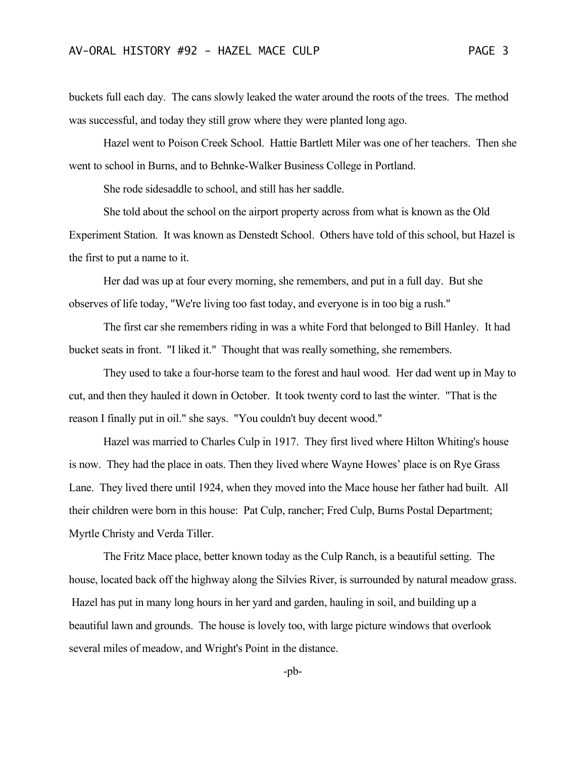buckets full each day. The cans slowly leaked the water around the roots of the trees. The method was successful, and today they still grow where they were planted long ago.

Hazel went to Poison Creek School. Hattie Bartlett Miler was one of her teachers. Then she went to school in Burns, and to Behnke-Walker Business College in Portland.

She rode sidesaddle to school, and still has her saddle.

She told about the school on the airport property across from what is known as the Old Experiment Station. It was known as Denstedt School. Others have told of this school, but Hazel is the first to put a name to it.

Her dad was up at four every morning, she remembers, and put in a full day. But she observes of life today, "We're living too fast today, and everyone is in too big a rush."

The first car she remembers riding in was a white Ford that belonged to Bill Hanley. It had bucket seats in front. "I liked it." Thought that was really something, she remembers.

They used to take a four-horse team to the forest and haul wood. Her dad went up in May to cut, and then they hauled it down in October. It took twenty cord to last the winter. "That is the reason I finally put in oil." she says. "You couldn't buy decent wood."

Hazel was married to Charles Culp in 1917. They first lived where Hilton Whiting's house is now. They had the place in oats. Then they lived where Wayne Howes' place is on Rye Grass Lane. They lived there until 1924, when they moved into the Mace house her father had built. All their children were born in this house: Pat Culp, rancher; Fred Culp, Burns Postal Department; Myrtle Christy and Verda Tiller.

The Fritz Mace place, better known today as the Culp Ranch, is a beautiful setting. The house, located back off the highway along the Silvies River, is surrounded by natural meadow grass. Hazel has put in many long hours in her yard and garden, hauling in soil, and building up a beautiful lawn and grounds. The house is lovely too, with large picture windows that overlook several miles of meadow, and Wright's Point in the distance.

-pb-